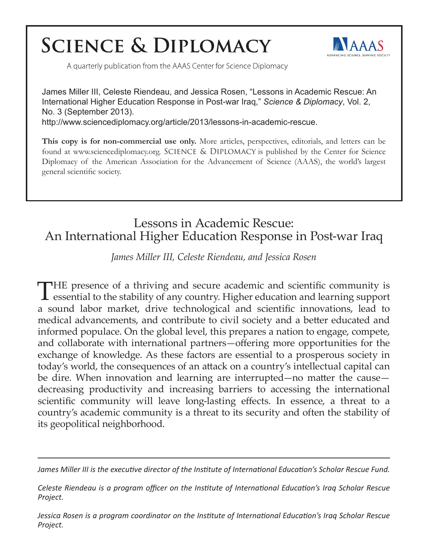# **SCIENCE & DIPLOMACY**



A quarterly publication from the AAAS Center for Science Diplomacy

James Miller III, Celeste Riendeau, and Jessica Rosen, "Lessons in Academic Rescue: An International Higher Education Response in Post-war Iraq," *Science & Diplomacy*, Vol. 2, No. 3 (September 2013). http://www.sciencediplomacy.org/article/2013/lessons-in-academic-rescue.

**This copy is for non-commercial use only.** More articles, perspectives, editorials, and letters can be found at www.sciencediplomacy.org. SCIENCE & DIPLOMACY is published by the Center for Science Diplomacy of the American Association for the Advancement of Science (AAAS), the world's largest general scientific society.

## Lessons in Academic Rescue: An International Higher Education Response in Post-war Iraq

*James Miller III, Celeste Riendeau, and Jessica Rosen* 

THE presence of a thriving and secure academic and scientific community is essential to the stability of any country. Higher education and learning support a sound labor market, drive technological and scientific innovations, lead to medical advancements, and contribute to civil society and a better educated and informed populace. On the global level, this prepares a nation to engage, compete, and collaborate with international partners—offering more opportunities for the exchange of knowledge. As these factors are essential to a prosperous society in today's world, the consequences of an attack on a country's intellectual capital can be dire. When innovation and learning are interrupted—no matter the cause decreasing productivity and increasing barriers to accessing the international scientific community will leave long-lasting effects. In essence, a threat to a country's academic community is a threat to its security and often the stability of its geopolitical neighborhood.

*James Miller III is the executive director of the Institute of International Education's Scholar Rescue Fund.*

*Celeste Riendeau is a program officer on the Institute of International Education's Iraq Scholar Rescue Project.*

*Jessica Rosen is a program coordinator on the Institute of International Education's Iraq Scholar Rescue Project.*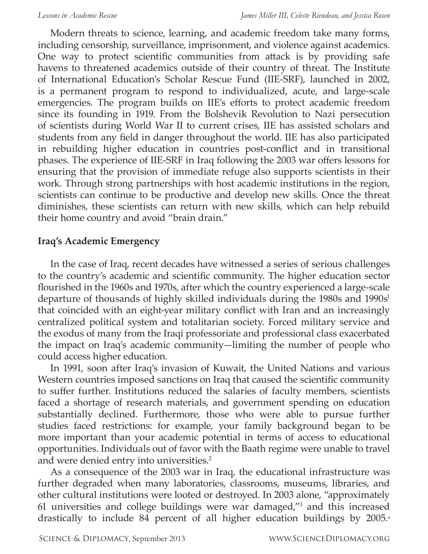Modern threats to science, learning, and academic freedom take many forms, including censorship, surveillance, imprisonment, and violence against academics. One way to protect scientific communities from attack is by providing safe havens to threatened academics outside of their country of threat. The Institute of International Education's Scholar Rescue Fund (IIE-SRF), launched in 2002, is a permanent program to respond to individualized, acute, and large-scale emergencies. The program builds on IIE's efforts to protect academic freedom since its founding in 1919. From the Bolshevik Revolution to Nazi persecution of scientists during World War II to current crises, IIE has assisted scholars and students from any field in danger throughout the world. IIE has also participated in rebuilding higher education in countries post-conflict and in transitional phases. The experience of IIE-SRF in Iraq following the 2003 war offers lessons for ensuring that the provision of immediate refuge also supports scientists in their work. Through strong partnerships with host academic institutions in the region, scientists can continue to be productive and develop new skills. Once the threat diminishes, these scientists can return with new skills, which can help rebuild their home country and avoid "brain drain."

#### **Iraq's Academic Emergency**

In the case of Iraq, recent decades have witnessed a series of serious challenges to the country's academic and scientific community. The higher education sector flourished in the 1960s and 1970s, after which the country experienced a large-scale departure of thousands of highly skilled individuals during the 1980s and 1990s<sup>1</sup> that coincided with an eight-year military conflict with Iran and an increasingly centralized political system and totalitarian society. Forced military service and the exodus of many from the Iraqi professoriate and professional class exacerbated the impact on Iraq's academic community—limiting the number of people who could access higher education.

In 1991, soon after Iraq's invasion of Kuwait, the United Nations and various Western countries imposed sanctions on Iraq that caused the scientific community to suffer further. Institutions reduced the salaries of faculty members, scientists faced a shortage of research materials, and government spending on education substantially declined. Furthermore, those who were able to pursue further studies faced restrictions: for example, your family background began to be more important than your academic potential in terms of access to educational opportunities. Individuals out of favor with the Baath regime were unable to travel and were denied entry into universities.<sup>2</sup>

As a consequence of the 2003 war in Iraq, the educational infrastructure was further degraded when many laboratories, classrooms, museums, libraries, and other cultural institutions were looted or destroyed. In 2003 alone, "approximately 61 universities and college buildings were war damaged,"3 and this increased drastically to include 84 percent of all higher education buildings by 2005.4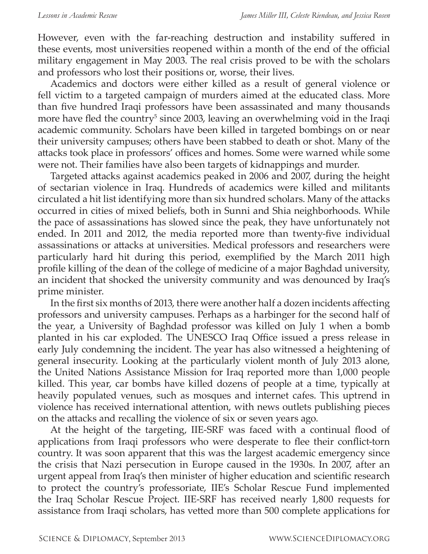However, even with the far-reaching destruction and instability suffered in these events, most universities reopened within a month of the end of the official military engagement in May 2003. The real crisis proved to be with the scholars and professors who lost their positions or, worse, their lives.

Academics and doctors were either killed as a result of general violence or fell victim to a targeted campaign of murders aimed at the educated class. More than five hundred Iraqi professors have been assassinated and many thousands more have fled the country<sup>5</sup> since 2003, leaving an overwhelming void in the Iraqi academic community. Scholars have been killed in targeted bombings on or near their university campuses; others have been stabbed to death or shot. Many of the attacks took place in professors' offices and homes. Some were warned while some were not. Their families have also been targets of kidnappings and murder.

Targeted attacks against academics peaked in 2006 and 2007, during the height of sectarian violence in Iraq. Hundreds of academics were killed and militants circulated a hit list identifying more than six hundred scholars. Many of the attacks occurred in cities of mixed beliefs, both in Sunni and Shia neighborhoods. While the pace of assassinations has slowed since the peak, they have unfortunately not ended. In 2011 and 2012, the media reported more than twenty-five individual assassinations or attacks at universities. Medical professors and researchers were particularly hard hit during this period, exemplified by the March 2011 high profile killing of the dean of the college of medicine of a major Baghdad university, an incident that shocked the university community and was denounced by Iraq's prime minister.

In the first six months of 2013, there were another half a dozen incidents affecting professors and university campuses. Perhaps as a harbinger for the second half of the year, a University of Baghdad professor was killed on July 1 when a bomb planted in his car exploded. The UNESCO Iraq Office issued a press release in early July condemning the incident. The year has also witnessed a heightening of general insecurity. Looking at the particularly violent month of July 2013 alone, the United Nations Assistance Mission for Iraq reported more than 1,000 people killed. This year, car bombs have killed dozens of people at a time, typically at heavily populated venues, such as mosques and internet cafes. This uptrend in violence has received international attention, with news outlets publishing pieces on the attacks and recalling the violence of six or seven years ago.

At the height of the targeting, IIE-SRF was faced with a continual flood of applications from Iraqi professors who were desperate to flee their conflict-torn country. It was soon apparent that this was the largest academic emergency since the crisis that Nazi persecution in Europe caused in the 1930s. In 2007, after an urgent appeal from Iraq's then minister of higher education and scientific research to protect the country's professoriate, IIE's Scholar Rescue Fund implemented the Iraq Scholar Rescue Project. IIE-SRF has received nearly 1,800 requests for assistance from Iraqi scholars, has vetted more than 500 complete applications for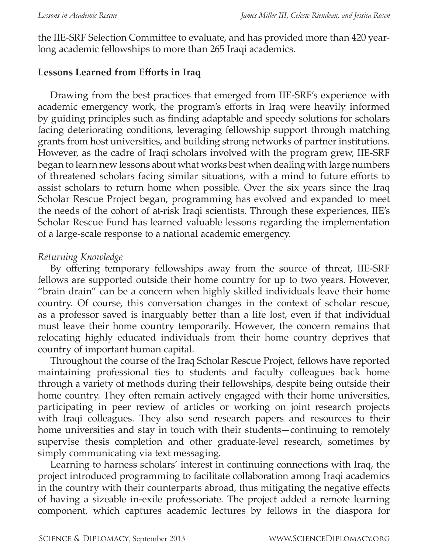the IIE-SRF Selection Committee to evaluate, and has provided more than 420 yearlong academic fellowships to more than 265 Iraqi academics.

### **Lessons Learned from Efforts in Iraq**

Drawing from the best practices that emerged from IIE-SRF's experience with academic emergency work, the program's efforts in Iraq were heavily informed by guiding principles such as finding adaptable and speedy solutions for scholars facing deteriorating conditions, leveraging fellowship support through matching grants from host universities, and building strong networks of partner institutions. However, as the cadre of Iraqi scholars involved with the program grew, IIE-SRF began to learn new lessons about what works best when dealing with large numbers of threatened scholars facing similar situations, with a mind to future efforts to assist scholars to return home when possible. Over the six years since the Iraq Scholar Rescue Project began, programming has evolved and expanded to meet the needs of the cohort of at-risk Iraqi scientists. Through these experiences, IIE's Scholar Rescue Fund has learned valuable lessons regarding the implementation of a large-scale response to a national academic emergency.

### *Returning Knowledge*

By offering temporary fellowships away from the source of threat, IIE-SRF fellows are supported outside their home country for up to two years. However, "brain drain" can be a concern when highly skilled individuals leave their home country. Of course, this conversation changes in the context of scholar rescue, as a professor saved is inarguably better than a life lost, even if that individual must leave their home country temporarily. However, the concern remains that relocating highly educated individuals from their home country deprives that country of important human capital.

Throughout the course of the Iraq Scholar Rescue Project, fellows have reported maintaining professional ties to students and faculty colleagues back home through a variety of methods during their fellowships, despite being outside their home country. They often remain actively engaged with their home universities, participating in peer review of articles or working on joint research projects with Iraqi colleagues. They also send research papers and resources to their home universities and stay in touch with their students—continuing to remotely supervise thesis completion and other graduate-level research, sometimes by simply communicating via text messaging.

Learning to harness scholars' interest in continuing connections with Iraq, the project introduced programming to facilitate collaboration among Iraqi academics in the country with their counterparts abroad, thus mitigating the negative effects of having a sizeable in-exile professoriate. The project added a remote learning component, which captures academic lectures by fellows in the diaspora for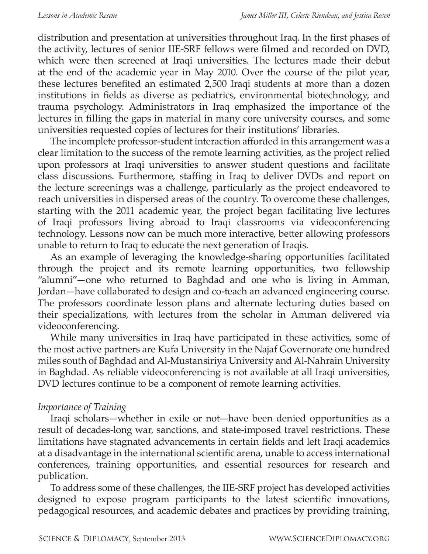distribution and presentation at universities throughout Iraq. In the first phases of the activity, lectures of senior IIE-SRF fellows were filmed and recorded on DVD, which were then screened at Iraqi universities. The lectures made their debut at the end of the academic year in May 2010. Over the course of the pilot year, these lectures benefited an estimated 2,500 Iraqi students at more than a dozen institutions in fields as diverse as pediatrics, environmental biotechnology, and trauma psychology. Administrators in Iraq emphasized the importance of the lectures in filling the gaps in material in many core university courses, and some universities requested copies of lectures for their institutions' libraries.

The incomplete professor-student interaction afforded in this arrangement was a clear limitation to the success of the remote learning activities, as the project relied upon professors at Iraqi universities to answer student questions and facilitate class discussions. Furthermore, staffing in Iraq to deliver DVDs and report on the lecture screenings was a challenge, particularly as the project endeavored to reach universities in dispersed areas of the country. To overcome these challenges, starting with the 2011 academic year, the project began facilitating live lectures of Iraqi professors living abroad to Iraqi classrooms via videoconferencing technology. Lessons now can be much more interactive, better allowing professors unable to return to Iraq to educate the next generation of Iraqis.

As an example of leveraging the knowledge-sharing opportunities facilitated through the project and its remote learning opportunities, two fellowship "alumni"—one who returned to Baghdad and one who is living in Amman, Jordan—have collaborated to design and co-teach an advanced engineering course. The professors coordinate lesson plans and alternate lecturing duties based on their specializations, with lectures from the scholar in Amman delivered via videoconferencing.

While many universities in Iraq have participated in these activities, some of the most active partners are Kufa University in the Najaf Governorate one hundred miles south of Baghdad and Al-Mustansiriya University and Al-Nahrain University in Baghdad. As reliable videoconferencing is not available at all Iraqi universities, DVD lectures continue to be a component of remote learning activities.

#### *Importance of Training*

Iraqi scholars—whether in exile or not—have been denied opportunities as a result of decades-long war, sanctions, and state-imposed travel restrictions. These limitations have stagnated advancements in certain fields and left Iraqi academics at a disadvantage in the international scientific arena, unable to access international conferences, training opportunities, and essential resources for research and publication.

To address some of these challenges, the IIE-SRF project has developed activities designed to expose program participants to the latest scientific innovations, pedagogical resources, and academic debates and practices by providing training,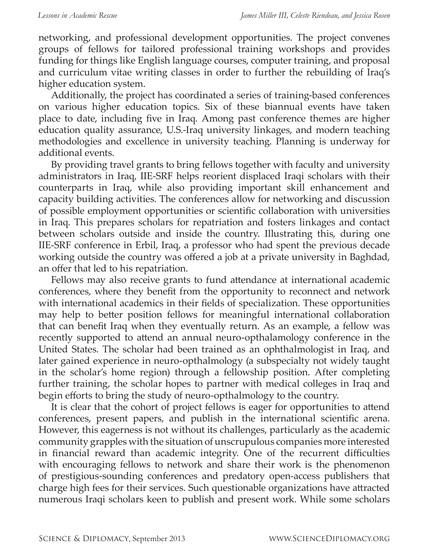networking, and professional development opportunities. The project convenes groups of fellows for tailored professional training workshops and provides funding for things like English language courses, computer training, and proposal and curriculum vitae writing classes in order to further the rebuilding of Iraq's higher education system.

Additionally, the project has coordinated a series of training-based conferences on various higher education topics. Six of these biannual events have taken place to date, including five in Iraq. Among past conference themes are higher education quality assurance, U.S.-Iraq university linkages, and modern teaching methodologies and excellence in university teaching. Planning is underway for additional events.

By providing travel grants to bring fellows together with faculty and university administrators in Iraq, IIE-SRF helps reorient displaced Iraqi scholars with their counterparts in Iraq, while also providing important skill enhancement and capacity building activities. The conferences allow for networking and discussion of possible employment opportunities or scientific collaboration with universities in Iraq. This prepares scholars for repatriation and fosters linkages and contact between scholars outside and inside the country. Illustrating this, during one IIE-SRF conference in Erbil, Iraq, a professor who had spent the previous decade working outside the country was offered a job at a private university in Baghdad, an offer that led to his repatriation.

Fellows may also receive grants to fund attendance at international academic conferences, where they benefit from the opportunity to reconnect and network with international academics in their fields of specialization. These opportunities may help to better position fellows for meaningful international collaboration that can benefit Iraq when they eventually return. As an example, a fellow was recently supported to attend an annual neuro-opthalamology conference in the United States. The scholar had been trained as an ophthalmologist in Iraq, and later gained experience in neuro-opthalmology (a subspecialty not widely taught in the scholar's home region) through a fellowship position. After completing further training, the scholar hopes to partner with medical colleges in Iraq and begin efforts to bring the study of neuro-opthalmology to the country.

It is clear that the cohort of project fellows is eager for opportunities to attend conferences, present papers, and publish in the international scientific arena. However, this eagerness is not without its challenges, particularly as the academic community grapples with the situation of unscrupulous companies more interested in financial reward than academic integrity. One of the recurrent difficulties with encouraging fellows to network and share their work is the phenomenon of prestigious-sounding conferences and predatory open-access publishers that charge high fees for their services. Such questionable organizations have attracted numerous Iraqi scholars keen to publish and present work. While some scholars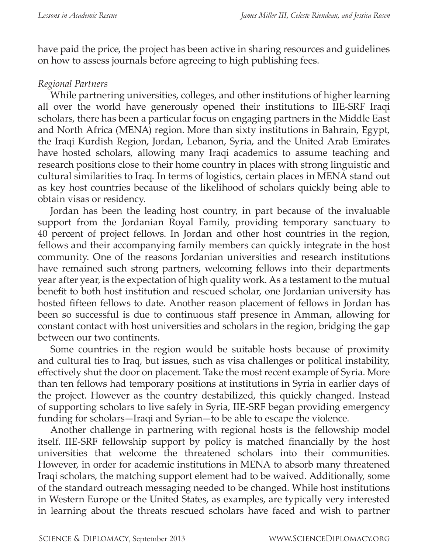have paid the price, the project has been active in sharing resources and guidelines on how to assess journals before agreeing to high publishing fees.

#### *Regional Partners*

While partnering universities, colleges, and other institutions of higher learning all over the world have generously opened their institutions to IIE-SRF Iraqi scholars, there has been a particular focus on engaging partners in the Middle East and North Africa (MENA) region. More than sixty institutions in Bahrain, Egypt, the Iraqi Kurdish Region, Jordan, Lebanon, Syria, and the United Arab Emirates have hosted scholars, allowing many Iraqi academics to assume teaching and research positions close to their home country in places with strong linguistic and cultural similarities to Iraq. In terms of logistics, certain places in MENA stand out as key host countries because of the likelihood of scholars quickly being able to obtain visas or residency.

Jordan has been the leading host country, in part because of the invaluable support from the Jordanian Royal Family, providing temporary sanctuary to 40 percent of project fellows. In Jordan and other host countries in the region, fellows and their accompanying family members can quickly integrate in the host community. One of the reasons Jordanian universities and research institutions have remained such strong partners, welcoming fellows into their departments year after year, is the expectation of high quality work. As a testament to the mutual benefit to both host institution and rescued scholar, one Jordanian university has hosted fifteen fellows to date. Another reason placement of fellows in Jordan has been so successful is due to continuous staff presence in Amman, allowing for constant contact with host universities and scholars in the region, bridging the gap between our two continents.

Some countries in the region would be suitable hosts because of proximity and cultural ties to Iraq, but issues, such as visa challenges or political instability, effectively shut the door on placement. Take the most recent example of Syria. More than ten fellows had temporary positions at institutions in Syria in earlier days of the project. However as the country destabilized, this quickly changed. Instead of supporting scholars to live safely in Syria, IIE-SRF began providing emergency funding for scholars—Iraqi and Syrian—to be able to escape the violence.

Another challenge in partnering with regional hosts is the fellowship model itself. IIE-SRF fellowship support by policy is matched financially by the host universities that welcome the threatened scholars into their communities. However, in order for academic institutions in MENA to absorb many threatened Iraqi scholars, the matching support element had to be waived. Additionally, some of the standard outreach messaging needed to be changed. While host institutions in Western Europe or the United States, as examples, are typically very interested in learning about the threats rescued scholars have faced and wish to partner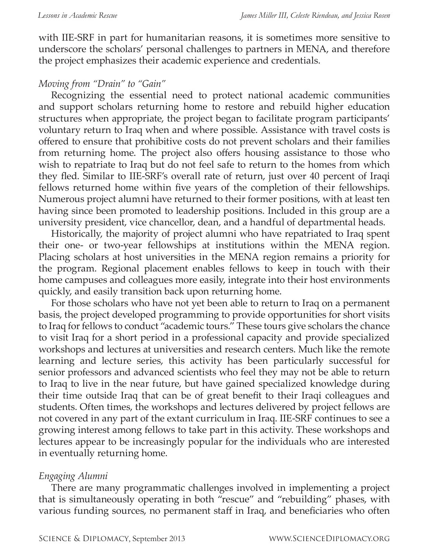with IIE-SRF in part for humanitarian reasons, it is sometimes more sensitive to underscore the scholars' personal challenges to partners in MENA, and therefore the project emphasizes their academic experience and credentials.

#### *Moving from "Drain" to "Gain"*

Recognizing the essential need to protect national academic communities and support scholars returning home to restore and rebuild higher education structures when appropriate, the project began to facilitate program participants' voluntary return to Iraq when and where possible. Assistance with travel costs is offered to ensure that prohibitive costs do not prevent scholars and their families from returning home. The project also offers housing assistance to those who wish to repatriate to Iraq but do not feel safe to return to the homes from which they fled. Similar to IIE-SRF's overall rate of return, just over 40 percent of Iraqi fellows returned home within five years of the completion of their fellowships. Numerous project alumni have returned to their former positions, with at least ten having since been promoted to leadership positions. Included in this group are a university president, vice chancellor, dean, and a handful of departmental heads.

Historically, the majority of project alumni who have repatriated to Iraq spent their one- or two-year fellowships at institutions within the MENA region. Placing scholars at host universities in the MENA region remains a priority for the program. Regional placement enables fellows to keep in touch with their home campuses and colleagues more easily, integrate into their host environments quickly, and easily transition back upon returning home.

For those scholars who have not yet been able to return to Iraq on a permanent basis, the project developed programming to provide opportunities for short visits to Iraq for fellows to conduct "academic tours." These tours give scholars the chance to visit Iraq for a short period in a professional capacity and provide specialized workshops and lectures at universities and research centers. Much like the remote learning and lecture series, this activity has been particularly successful for senior professors and advanced scientists who feel they may not be able to return to Iraq to live in the near future, but have gained specialized knowledge during their time outside Iraq that can be of great benefit to their Iraqi colleagues and students. Often times, the workshops and lectures delivered by project fellows are not covered in any part of the extant curriculum in Iraq. IIE-SRF continues to see a growing interest among fellows to take part in this activity. These workshops and lectures appear to be increasingly popular for the individuals who are interested in eventually returning home.

#### *Engaging Alumni*

There are many programmatic challenges involved in implementing a project that is simultaneously operating in both "rescue" and "rebuilding" phases, with various funding sources, no permanent staff in Iraq, and beneficiaries who often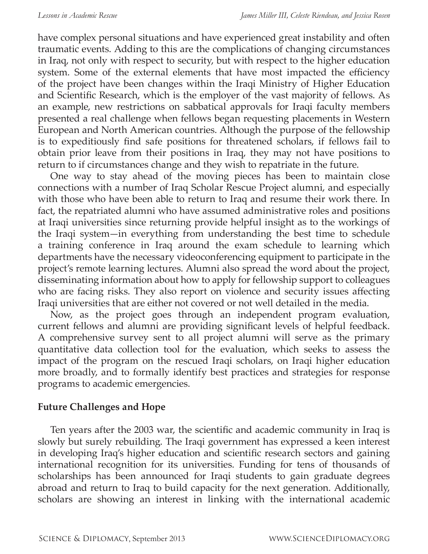have complex personal situations and have experienced great instability and often traumatic events. Adding to this are the complications of changing circumstances in Iraq, not only with respect to security, but with respect to the higher education system. Some of the external elements that have most impacted the efficiency of the project have been changes within the Iraqi Ministry of Higher Education and Scientific Research, which is the employer of the vast majority of fellows. As an example, new restrictions on sabbatical approvals for Iraqi faculty members presented a real challenge when fellows began requesting placements in Western European and North American countries. Although the purpose of the fellowship is to expeditiously find safe positions for threatened scholars, if fellows fail to obtain prior leave from their positions in Iraq, they may not have positions to return to if circumstances change and they wish to repatriate in the future.

One way to stay ahead of the moving pieces has been to maintain close connections with a number of Iraq Scholar Rescue Project alumni, and especially with those who have been able to return to Iraq and resume their work there. In fact, the repatriated alumni who have assumed administrative roles and positions at Iraqi universities since returning provide helpful insight as to the workings of the Iraqi system—in everything from understanding the best time to schedule a training conference in Iraq around the exam schedule to learning which departments have the necessary videoconferencing equipment to participate in the project's remote learning lectures. Alumni also spread the word about the project, disseminating information about how to apply for fellowship support to colleagues who are facing risks. They also report on violence and security issues affecting Iraqi universities that are either not covered or not well detailed in the media.

Now, as the project goes through an independent program evaluation, current fellows and alumni are providing significant levels of helpful feedback. A comprehensive survey sent to all project alumni will serve as the primary quantitative data collection tool for the evaluation, which seeks to assess the impact of the program on the rescued Iraqi scholars, on Iraqi higher education more broadly, and to formally identify best practices and strategies for response programs to academic emergencies.

#### **Future Challenges and Hope**

Ten years after the 2003 war, the scientific and academic community in Iraq is slowly but surely rebuilding. The Iraqi government has expressed a keen interest in developing Iraq's higher education and scientific research sectors and gaining international recognition for its universities. Funding for tens of thousands of scholarships has been announced for Iraqi students to gain graduate degrees abroad and return to Iraq to build capacity for the next generation. Additionally, scholars are showing an interest in linking with the international academic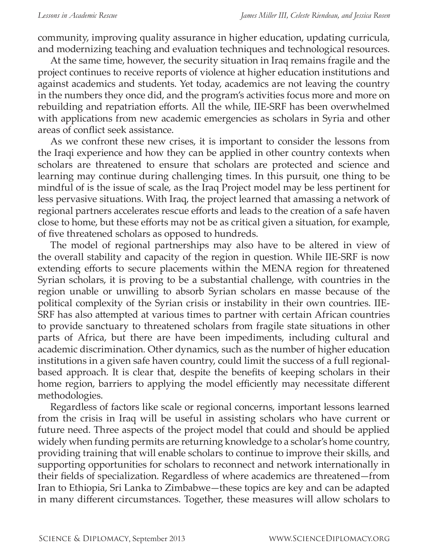community, improving quality assurance in higher education, updating curricula, and modernizing teaching and evaluation techniques and technological resources.

At the same time, however, the security situation in Iraq remains fragile and the project continues to receive reports of violence at higher education institutions and against academics and students. Yet today, academics are not leaving the country in the numbers they once did, and the program's activities focus more and more on rebuilding and repatriation efforts. All the while, IIE-SRF has been overwhelmed with applications from new academic emergencies as scholars in Syria and other areas of conflict seek assistance.

As we confront these new crises, it is important to consider the lessons from the Iraqi experience and how they can be applied in other country contexts when scholars are threatened to ensure that scholars are protected and science and learning may continue during challenging times. In this pursuit, one thing to be mindful of is the issue of scale, as the Iraq Project model may be less pertinent for less pervasive situations. With Iraq, the project learned that amassing a network of regional partners accelerates rescue efforts and leads to the creation of a safe haven close to home, but these efforts may not be as critical given a situation, for example, of five threatened scholars as opposed to hundreds.

The model of regional partnerships may also have to be altered in view of the overall stability and capacity of the region in question. While IIE-SRF is now extending efforts to secure placements within the MENA region for threatened Syrian scholars, it is proving to be a substantial challenge, with countries in the region unable or unwilling to absorb Syrian scholars en masse because of the political complexity of the Syrian crisis or instability in their own countries. IIE-SRF has also attempted at various times to partner with certain African countries to provide sanctuary to threatened scholars from fragile state situations in other parts of Africa, but there are have been impediments, including cultural and academic discrimination. Other dynamics, such as the number of higher education institutions in a given safe haven country, could limit the success of a full regionalbased approach. It is clear that, despite the benefits of keeping scholars in their home region, barriers to applying the model efficiently may necessitate different methodologies.

Regardless of factors like scale or regional concerns, important lessons learned from the crisis in Iraq will be useful in assisting scholars who have current or future need. Three aspects of the project model that could and should be applied widely when funding permits are returning knowledge to a scholar's home country, providing training that will enable scholars to continue to improve their skills, and supporting opportunities for scholars to reconnect and network internationally in their fields of specialization. Regardless of where academics are threatened—from Iran to Ethiopia, Sri Lanka to Zimbabwe—these topics are key and can be adapted in many different circumstances. Together, these measures will allow scholars to